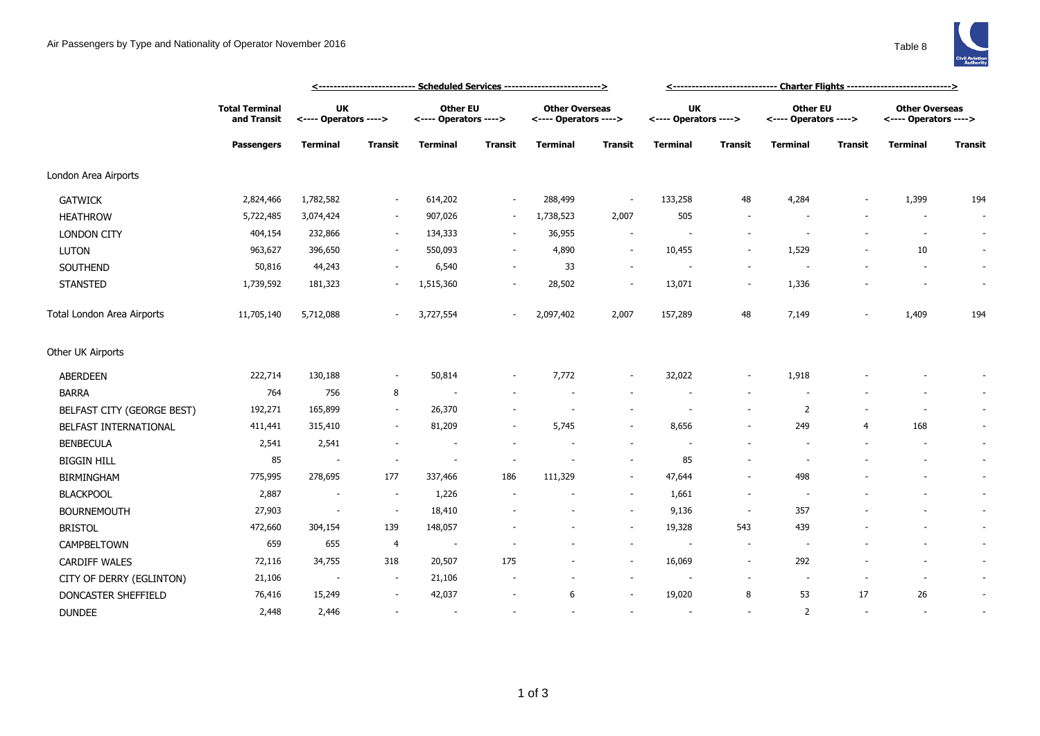## Air Passengers by Type and Nationality of Operator November 2016 Table 8



|                            |                                                           |                             | <u>&lt;-------------------------- Scheduled Services -------------------------&gt;</u> |                                   | <u>&lt;----------------------------- Charter Flights ----------------------------&gt;</u> |                                                |                          |                                    |                          |                                   |                |                                                |                          |
|----------------------------|-----------------------------------------------------------|-----------------------------|----------------------------------------------------------------------------------------|-----------------------------------|-------------------------------------------------------------------------------------------|------------------------------------------------|--------------------------|------------------------------------|--------------------------|-----------------------------------|----------------|------------------------------------------------|--------------------------|
|                            | <b>Total Terminal</b><br>and Transit<br><b>Passengers</b> | UK<br><---- Operators ----> |                                                                                        | Other EU<br><---- Operators ----> |                                                                                           | <b>Other Overseas</b><br><---- Operators ----> |                          | <b>UK</b><br><---- Operators ----> |                          | Other EU<br><---- Operators ----> |                | <b>Other Overseas</b><br><---- Operators ----> |                          |
|                            |                                                           | <b>Terminal</b>             | <b>Transit</b>                                                                         | <b>Terminal</b>                   | <b>Transit</b>                                                                            | <b>Terminal</b>                                | Transit                  | <b>Terminal</b>                    | <b>Transit</b>           | Terminal                          | <b>Transit</b> | <b>Terminal</b>                                | <b>Transit</b>           |
| London Area Airports       |                                                           |                             |                                                                                        |                                   |                                                                                           |                                                |                          |                                    |                          |                                   |                |                                                |                          |
| <b>GATWICK</b>             | 2,824,466                                                 | 1,782,582                   |                                                                                        | 614,202                           | $\overline{\phantom{a}}$                                                                  | 288,499                                        | $\overline{\phantom{a}}$ | 133,258                            | 48                       | 4,284                             |                | 1,399                                          | 194                      |
| <b>HEATHROW</b>            | 5,722,485                                                 | 3,074,424                   |                                                                                        | 907,026                           | $\sim$                                                                                    | 1,738,523                                      | 2,007                    | 505                                |                          |                                   |                |                                                | $\overline{\phantom{a}}$ |
| <b>LONDON CITY</b>         | 404,154                                                   | 232,866                     | $\sim$                                                                                 | 134,333                           | $\sim$                                                                                    | 36,955                                         | $\sim$                   |                                    |                          |                                   |                | $\sim$                                         | $\sim$                   |
| <b>LUTON</b>               | 963,627                                                   | 396,650                     |                                                                                        | 550,093                           |                                                                                           | 4,890                                          | $\overline{\phantom{a}}$ | 10,455                             | $\overline{\phantom{a}}$ | 1,529                             |                | 10                                             | $\overline{\phantom{a}}$ |
| SOUTHEND                   | 50,816                                                    | 44,243                      |                                                                                        | 6,540                             |                                                                                           | 33                                             | $\sim$                   | $\overline{\phantom{a}}$           |                          |                                   |                | $\overline{\phantom{a}}$                       | $\sim$                   |
| <b>STANSTED</b>            | 1,739,592                                                 | 181,323                     |                                                                                        | 1,515,360                         |                                                                                           | 28,502                                         | $\overline{\phantom{a}}$ | 13,071                             | $\overline{\phantom{a}}$ | 1,336                             |                |                                                | $\sim$                   |
| Total London Area Airports | 11,705,140                                                | 5,712,088                   |                                                                                        | 3,727,554                         |                                                                                           | 2,097,402                                      | 2,007                    | 157,289                            | 48                       | 7,149                             |                | 1,409                                          | 194                      |
| Other UK Airports          |                                                           |                             |                                                                                        |                                   |                                                                                           |                                                |                          |                                    |                          |                                   |                |                                                |                          |
| ABERDEEN                   | 222,714                                                   | 130,188                     | $\sim$                                                                                 | 50,814                            |                                                                                           | 7,772                                          | $\sim$                   | 32,022                             | $\sim$                   | 1,918                             |                |                                                |                          |
| <b>BARRA</b>               | 764                                                       | 756                         | 8                                                                                      |                                   |                                                                                           |                                                |                          |                                    |                          |                                   |                |                                                |                          |
| BELFAST CITY (GEORGE BEST) | 192,271                                                   | 165,899                     |                                                                                        | 26,370                            |                                                                                           |                                                |                          |                                    |                          | $\overline{2}$                    |                |                                                | $\sim$                   |
| BELFAST INTERNATIONAL      | 411,441                                                   | 315,410                     |                                                                                        | 81,209                            |                                                                                           | 5,745                                          | $\sim$                   | 8,656                              |                          | 249                               | $\overline{4}$ | 168                                            | $\sim$                   |
| <b>BENBECULA</b>           | 2,541                                                     | 2,541                       |                                                                                        |                                   |                                                                                           |                                                |                          |                                    |                          |                                   |                |                                                | $\sim$                   |
| <b>BIGGIN HILL</b>         | 85                                                        | $\overline{\phantom{a}}$    |                                                                                        |                                   |                                                                                           |                                                | $\sim$                   | 85                                 |                          |                                   |                |                                                | $\sim$                   |
| <b>BIRMINGHAM</b>          | 775,995                                                   | 278,695                     | 177                                                                                    | 337,466                           | 186                                                                                       | 111,329                                        | $\sim$                   | 47,644                             |                          | 498                               |                |                                                | $\sim$                   |
| <b>BLACKPOOL</b>           | 2,887                                                     | $\sim$                      | $\sim$                                                                                 | 1,226                             |                                                                                           |                                                | $\sim$                   | 1,661                              | $\sim$                   |                                   |                |                                                | $\overline{\phantom{a}}$ |
| <b>BOURNEMOUTH</b>         | 27,903                                                    | $\overline{\phantom{a}}$    | $\sim$                                                                                 | 18,410                            |                                                                                           |                                                | $\sim$                   | 9,136                              | $\overline{\phantom{a}}$ | 357                               |                |                                                | $\sim$                   |
| <b>BRISTOL</b>             | 472,660                                                   | 304,154                     | 139                                                                                    | 148,057                           |                                                                                           |                                                | $\sim$                   | 19,328                             | 543                      | 439                               |                |                                                | $\sim$                   |
| CAMPBELTOWN                | 659                                                       | 655                         | $\overline{4}$                                                                         | $\overline{\phantom{a}}$          |                                                                                           |                                                | $\sim$                   | $\overline{\phantom{a}}$           | $\overline{\phantom{a}}$ | $\overline{\phantom{a}}$          |                |                                                | $\sim$                   |
| <b>CARDIFF WALES</b>       | 72,116                                                    | 34,755                      | 318                                                                                    | 20,507                            | 175                                                                                       |                                                | $\sim$                   | 16,069                             | $\overline{\phantom{a}}$ | 292                               |                | $\sim$                                         | $\sim$                   |
| CITY OF DERRY (EGLINTON)   | 21,106                                                    |                             |                                                                                        | 21,106                            |                                                                                           |                                                | $\sim$                   |                                    |                          | $\overline{\phantom{a}}$          |                | $\overline{\phantom{a}}$                       | $\sim$                   |
| DONCASTER SHEFFIELD        | 76,416                                                    | 15,249                      |                                                                                        | 42,037                            |                                                                                           | 6                                              | $\overline{\phantom{a}}$ | 19,020                             | 8                        | 53                                | 17             | 26                                             | $\overline{\phantom{a}}$ |
| <b>DUNDEE</b>              | 2,448                                                     | 2,446                       |                                                                                        | $\overline{\phantom{a}}$          |                                                                                           |                                                |                          |                                    |                          | $\overline{2}$                    |                | $\sim$                                         | $\sim$                   |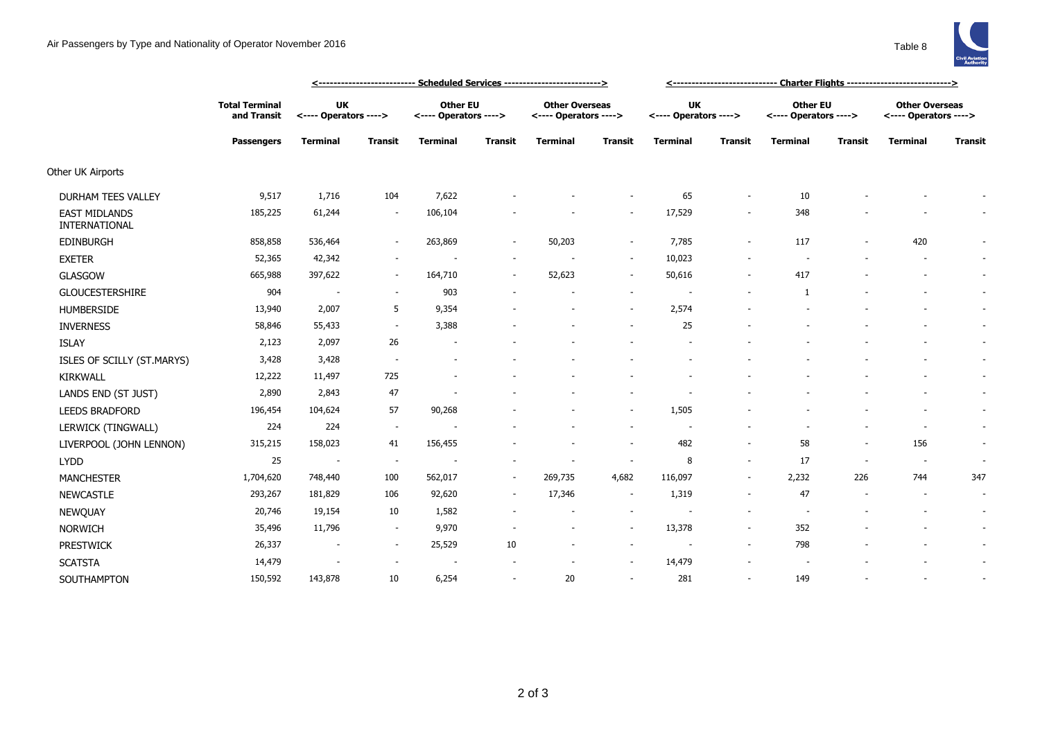

|                                       | <u> &lt;-------------------------- Scheduled Services --------------------------&gt;</u> |                             |                          |                                          |                          |                                                |                          |                                    | <u>&lt;------------------------------  Charter Flights ----------------------------&gt;</u> |                                   |                          |                                                |                          |  |  |
|---------------------------------------|------------------------------------------------------------------------------------------|-----------------------------|--------------------------|------------------------------------------|--------------------------|------------------------------------------------|--------------------------|------------------------------------|---------------------------------------------------------------------------------------------|-----------------------------------|--------------------------|------------------------------------------------|--------------------------|--|--|
|                                       | <b>Total Terminal</b><br>and Transit<br><b>Passengers</b>                                | UK<br><---- Operators ----> |                          | <b>Other EU</b><br><---- Operators ----> |                          | <b>Other Overseas</b><br><---- Operators ----> |                          | <b>UK</b><br><---- Operators ----> |                                                                                             | Other EU<br><---- Operators ----> |                          | <b>Other Overseas</b><br><---- Operators ----> |                          |  |  |
|                                       |                                                                                          | <b>Terminal</b>             | <b>Transit</b>           | <b>Terminal</b>                          | <b>Transit</b>           | <b>Terminal</b>                                | Transit                  | <b>Terminal</b>                    | Transit                                                                                     | <b>Terminal</b>                   | <b>Transit</b>           | <b>Terminal</b>                                | <b>Transit</b>           |  |  |
| Other UK Airports                     |                                                                                          |                             |                          |                                          |                          |                                                |                          |                                    |                                                                                             |                                   |                          |                                                |                          |  |  |
| <b>DURHAM TEES VALLEY</b>             | 9,517                                                                                    | 1,716                       | 104                      | 7,622                                    |                          |                                                | $\overline{\phantom{a}}$ | 65                                 | $\sim$                                                                                      | 10                                |                          |                                                |                          |  |  |
| <b>EAST MIDLANDS</b><br>INTERNATIONAL | 185,225                                                                                  | 61,244                      | $\overline{\phantom{a}}$ | 106,104                                  |                          |                                                | $\overline{\phantom{a}}$ | 17,529                             | $\overline{\phantom{a}}$                                                                    | 348                               |                          |                                                |                          |  |  |
| EDINBURGH                             | 858,858                                                                                  | 536,464                     |                          | 263,869                                  | $\sim$                   | 50,203                                         | $\sim$                   | 7,785                              | $\sim$                                                                                      | 117                               |                          | 420                                            |                          |  |  |
| <b>EXETER</b>                         | 52,365                                                                                   | 42,342                      | $\sim$                   |                                          | $\overline{\phantom{a}}$ |                                                | $\sim$                   | 10,023                             | $\overline{\phantom{a}}$                                                                    | $\overline{\phantom{a}}$          |                          | $\overline{\phantom{a}}$                       | $\sim$                   |  |  |
| <b>GLASGOW</b>                        | 665,988                                                                                  | 397,622                     | $\sim$                   | 164,710                                  | $\sim$                   | 52,623                                         | $\sim$                   | 50,616                             | $\overline{\phantom{a}}$                                                                    | 417                               |                          | $\sim$                                         | $\sim$                   |  |  |
| GLOUCESTERSHIRE                       | 904                                                                                      | $\overline{\phantom{a}}$    | $\sim$                   | 903                                      |                          |                                                | $\sim$                   |                                    |                                                                                             | 1                                 |                          |                                                | $\sim$                   |  |  |
| <b>HUMBERSIDE</b>                     | 13,940                                                                                   | 2,007                       | 5                        | 9,354                                    |                          |                                                | $\sim$                   | 2,574                              |                                                                                             |                                   |                          |                                                |                          |  |  |
| <b>INVERNESS</b>                      | 58,846                                                                                   | 55,433                      | $\sim$                   | 3,388                                    |                          |                                                |                          | 25                                 |                                                                                             |                                   |                          |                                                |                          |  |  |
| <b>ISLAY</b>                          | 2,123                                                                                    | 2,097                       | 26                       | $\overline{\phantom{a}}$                 |                          |                                                |                          |                                    |                                                                                             |                                   |                          | $\overline{\phantom{a}}$                       | $\overline{\phantom{a}}$ |  |  |
| ISLES OF SCILLY (ST.MARYS)            | 3,428                                                                                    | 3,428                       |                          | $\overline{\phantom{a}}$                 |                          |                                                |                          |                                    |                                                                                             |                                   |                          |                                                | $\sim$                   |  |  |
| <b>KIRKWALL</b>                       | 12,222                                                                                   | 11,497                      | 725                      |                                          |                          |                                                |                          |                                    |                                                                                             |                                   |                          |                                                | $\sim$                   |  |  |
| LANDS END (ST JUST)                   | 2,890                                                                                    | 2,843                       | 47                       |                                          |                          |                                                |                          |                                    |                                                                                             |                                   |                          |                                                | $\sim$                   |  |  |
| LEEDS BRADFORD                        | 196,454                                                                                  | 104,624                     | 57                       | 90,268                                   |                          |                                                | $\sim$                   | 1,505                              |                                                                                             |                                   |                          |                                                | $\sim$                   |  |  |
| LERWICK (TINGWALL)                    | 224                                                                                      | 224                         | $\sim$                   |                                          |                          |                                                | $\sim$                   | $\overline{\phantom{a}}$           |                                                                                             |                                   |                          | $\blacksquare$                                 | $\sim$                   |  |  |
| LIVERPOOL (JOHN LENNON)               | 315,215                                                                                  | 158,023                     | 41                       | 156,455                                  |                          |                                                | $\sim$                   | 482                                | $\sim$                                                                                      | 58                                | $\overline{\phantom{a}}$ | 156                                            | $\sim$                   |  |  |
| <b>LYDD</b>                           | 25                                                                                       | $\overline{\phantom{a}}$    | $\overline{\phantom{a}}$ |                                          |                          |                                                | $\overline{\phantom{a}}$ | 8                                  | $\overline{\phantom{a}}$                                                                    | 17                                | $\sim$                   | $\overline{\phantom{a}}$                       | $\sim$                   |  |  |
| <b>MANCHESTER</b>                     | 1,704,620                                                                                | 748,440                     | 100                      | 562,017                                  | $\sim$                   | 269,735                                        | 4,682                    | 116,097                            | $\sim$                                                                                      | 2,232                             | 226                      | 744                                            | 347                      |  |  |
| <b>NEWCASTLE</b>                      | 293,267                                                                                  | 181,829                     | 106                      | 92,620                                   | $\sim$                   | 17,346                                         | $\sim$                   | 1,319                              | $\sim$                                                                                      | 47                                |                          | $\blacksquare$                                 | $\sim$                   |  |  |
| <b>NEWQUAY</b>                        | 20,746                                                                                   | 19,154                      | 10                       | 1,582                                    | $\overline{\phantom{a}}$ | $\sim$                                         | $\sim$                   | ٠                                  | $\overline{\phantom{a}}$                                                                    | $\overline{\phantom{a}}$          |                          |                                                | $\sim$                   |  |  |
| <b>NORWICH</b>                        | 35,496                                                                                   | 11,796                      | $\sim$                   | 9,970                                    |                          | $\blacksquare$                                 | $\sim$                   | 13,378                             | $\sim$                                                                                      | 352                               |                          |                                                | $\sim$                   |  |  |
| <b>PRESTWICK</b>                      | 26,337                                                                                   | $\overline{\phantom{a}}$    | $\sim$                   | 25,529                                   | 10                       | $\overline{\phantom{a}}$                       | $\overline{\phantom{a}}$ | $\overline{a}$                     | $\sim$                                                                                      | 798                               |                          |                                                | $\sim$                   |  |  |
| <b>SCATSTA</b>                        | 14,479                                                                                   | $\overline{\phantom{a}}$    |                          |                                          |                          |                                                | $\sim$                   | 14,479                             |                                                                                             |                                   |                          |                                                | $\sim$                   |  |  |
| SOUTHAMPTON                           | 150,592                                                                                  | 143,878                     | 10                       | 6,254                                    |                          | 20                                             | $\sim$                   | 281                                |                                                                                             | 149                               |                          | $\overline{\phantom{a}}$                       |                          |  |  |